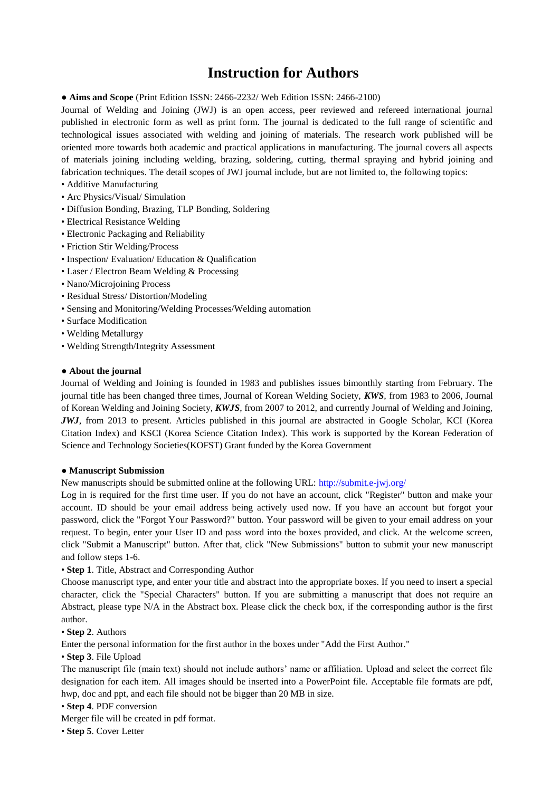# **Instruction for Authors**

**● Aims and Scope** (Print Edition ISSN: 2466-2232/ Web Edition ISSN: 2466-2100)

Journal of Welding and Joining (JWJ) is an open access, peer reviewed and refereed international journal published in electronic form as well as print form. The journal is dedicated to the full range of scientific and technological issues associated with welding and joining of materials. The research work published will be oriented more towards both academic and practical applications in manufacturing. The journal covers all aspects of materials joining including welding, brazing, soldering, cutting, thermal spraying and hybrid joining and fabrication techniques. The detail scopes of JWJ journal include, but are not limited to, the following topics:

- Additive Manufacturing
- Arc Physics/Visual/ Simulation
- Diffusion Bonding, Brazing, TLP Bonding, Soldering
- Electrical Resistance Welding
- Electronic Packaging and Reliability
- Friction Stir Welding/Process
- Inspection/ Evaluation/ Education & Qualification
- Laser / Electron Beam Welding & Processing
- Nano/Microjoining Process
- Residual Stress/ Distortion/Modeling
- Sensing and Monitoring/Welding Processes/Welding automation
- Surface Modification
- Welding Metallurgy
- Welding Strength/Integrity Assessment

## **● About the journal**

Journal of Welding and Joining is founded in 1983 and publishes issues bimonthly starting from February. The journal title has been changed three times, Journal of Korean Welding Society, *KWS,* from 1983 to 2006, Journal of Korean Welding and Joining Society, *KWJS*, from 2007 to 2012, and currently Journal of Welding and Joining, *JWJ*, from 2013 to present. Articles published in this journal are abstracted in Google Scholar, KCI (Korea Citation Index) and KSCI (Korea Science Citation Index). This work is supported by the Korean Federation of Science and Technology Societies(KOFST) Grant funded by the Korea Government

## **● Manuscript Submission**

New manuscripts should be submitted online at the following URL:<http://submit.e-jwj.org/>

Log in is required for the first time user. If you do not have an account, click "Register" button and make your account. ID should be your email address being actively used now. If you have an account but forgot your password, click the "Forgot Your Password?" button. Your password will be given to your email address on your request. To begin, enter your User ID and pass word into the boxes provided, and click. At the welcome screen, click "Submit a Manuscript" button. After that, click "New Submissions" button to submit your new manuscript and follow steps 1-6.

## • **Step 1**. Title, Abstract and Corresponding Author

Choose manuscript type, and enter your title and abstract into the appropriate boxes. If you need to insert a special character, click the "Special Characters" button. If you are submitting a manuscript that does not require an Abstract, please type N/A in the Abstract box. Please click the check box, if the corresponding author is the first author.

# • **Step 2**. Authors

Enter the personal information for the first author in the boxes under "Add the First Author."

• **Step 3**. File Upload

The manuscript file (main text) should not include authors' name or affiliation. Upload and select the correct file designation for each item. All images should be inserted into a PowerPoint file. Acceptable file formats are pdf, hwp, doc and ppt, and each file should not be bigger than 20 MB in size.

• **Step 4**. PDF conversion

Merger file will be created in pdf format.

• **Step 5**. Cover Letter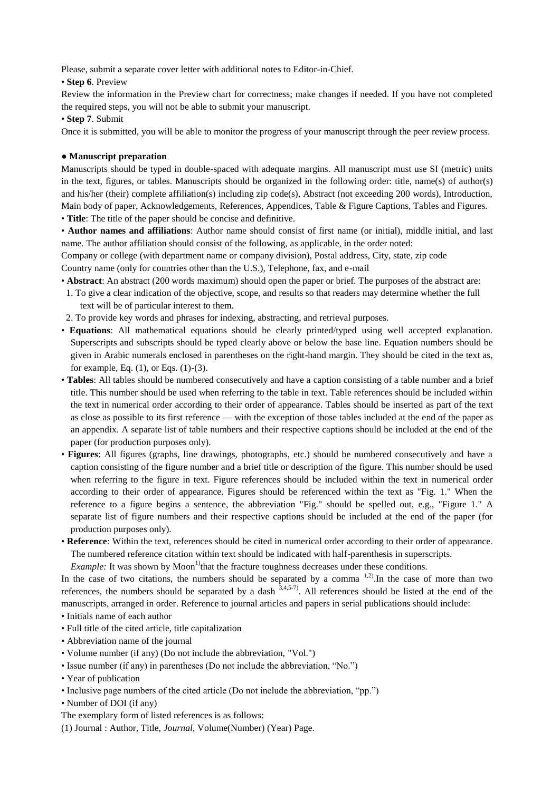Please, submit a separate cover letter with additional notes to Editor-in-Chief.

# • **Step 6**. Preview

Review the information in the Preview chart for correctness; make changes if needed. If you have not completed the required steps, you will not be able to submit your manuscript.

## • **Step 7**. Submit

Once it is submitted, you will be able to monitor the progress of your manuscript through the peer review process.

# **● Manuscript preparation**

Manuscripts should be typed in double-spaced with adequate margins. All manuscript must use SI (metric) units in the text, figures, or tables. Manuscripts should be organized in the following order: title, name(s) of author(s) and his/her (their) complete affiliation(s) including zip code(s), Abstract (not exceeding 200 words), Introduction, Main body of paper, Acknowledgements, References, Appendices, Table & Figure Captions, Tables and Figures. • **Title**: The title of the paper should be concise and definitive.

• **Author names and affiliations**: Author name should consist of first name (or initial), middle initial, and last name. The author affiliation should consist of the following, as applicable, in the order noted:

Company or college (with department name or company division), Postal address, City, state, zip code Country name (only for countries other than the U.S.), Telephone, fax, and e-mail

- **Abstract**: An abstract (200 words maximum) should open the paper or brief. The purposes of the abstract are:
- 1. To give a clear indication of the objective, scope, and results so that readers may determine whether the full text will be of particular interest to them.
- 2. To provide key words and phrases for indexing, abstracting, and retrieval purposes.
- **Equations**: All mathematical equations should be clearly printed/typed using well accepted explanation. Superscripts and subscripts should be typed clearly above or below the base line. Equation numbers should be given in Arabic numerals enclosed in parentheses on the right-hand margin. They should be cited in the text as, for example, Eq. (1), or Eqs. (1)-(3).
- **Tables**: All tables should be numbered consecutively and have a caption consisting of a table number and a brief title. This number should be used when referring to the table in text. Table references should be included within the text in numerical order according to their order of appearance. Tables should be inserted as part of the text as close as possible to its first reference — with the exception of those tables included at the end of the paper as an appendix. A separate list of table numbers and their respective captions should be included at the end of the paper (for production purposes only).
- **Figures**: All figures (graphs, line drawings, photographs, etc.) should be numbered consecutively and have a caption consisting of the figure number and a brief title or description of the figure. This number should be used when referring to the figure in text. Figure references should be included within the text in numerical order according to their order of appearance. Figures should be referenced within the text as "Fig. 1." When the reference to a figure begins a sentence, the abbreviation "Fig." should be spelled out, e.g., "Figure 1." A separate list of figure numbers and their respective captions should be included at the end of the paper (for production purposes only).
- **Reference**: Within the text, references should be cited in numerical order according to their order of appearance. The numbered reference citation within text should be indicated with half-parenthesis in superscripts.

*Example:* It was shown by Moon<sup>1)</sup>that the fracture toughness decreases under these conditions.

In the case of two citations, the numbers should be separated by a comma  $^{1,2}$ . In the case of more than two references, the numbers should be separated by a dash  $3,4,5-7$ . All references should be listed at the end of the manuscripts, arranged in order. Reference to journal articles and papers in serial publications should include:

- Initials name of each author
- Full title of the cited article, title capitalization
- Abbreviation name of the journal
- Volume number (if any) (Do not include the abbreviation, "Vol.")
- Issue number (if any) in parentheses (Do not include the abbreviation, "No.")
- Year of publication
- Inclusive page numbers of the cited article (Do not include the abbreviation, "pp.")
- Number of DOI (if any)
- The exemplary form of listed references is as follows:
- (1) Journal : Author, Title, *Journal,* Volume(Number) (Year) Page.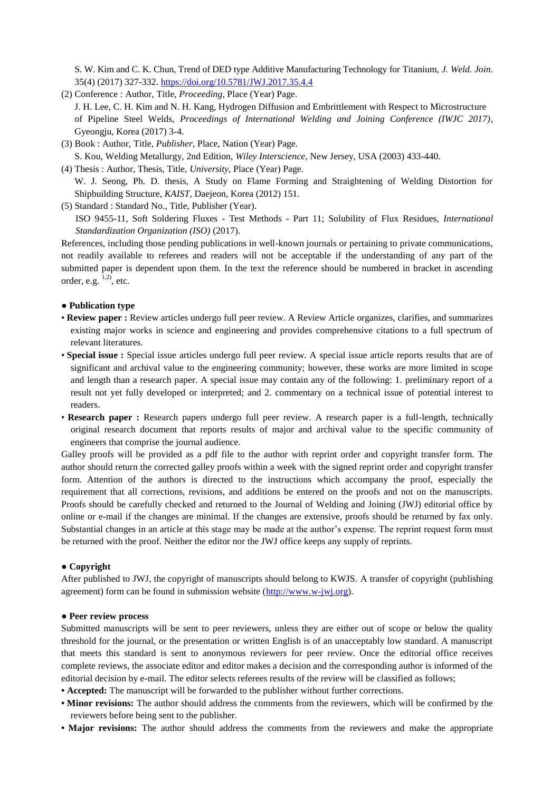S. W. Kim and C. K. Chun, Trend of DED type Additive Manufacturing Technology for Titanium, *J. Weld. Join.*  35(4) (2017) 327-332.<https://doi.org/10.5781/JWJ.2017.35.4.4>

- (2) Conference : Author, Title, *Proceeding*, Place (Year) Page. J. H. Lee, C. H. Kim and N. H. Kang, Hydrogen Diffusion and Embrittlement with Respect to Microstructure of Pipeline Steel Welds, *Proceedings of International Welding and Joining Conference (IWJC 2017),* Gyeongju, Korea (2017) 3-4.
- (3) Book : Author, Title*, Publisher*, Place, Nation (Year) Page. S. Kou, Welding Metallurgy, 2nd Edition, *Wiley Interscience,* New Jersey, USA (2003) 433-440.
- (4) Thesis : Author, Thesis, Title, *University*, Place (Year) Page. W. J. Seong, Ph. D. thesis, A Study on Flame Forming and Straightening of Welding Distortion for Shipbuilding Structure, *KAIST*, Daejeon, Korea (2012) 151.
- (5) Standard : Standard No., Title, Publisher (Year). ISO 9455-11, Soft Soldering Fluxes - Test Methods - Part 11; Solubility of Flux Residues, *International Standardization Organization (ISO)* (2017).

References, including those pending publications in well-known journals or pertaining to private communications, not readily available to referees and readers will not be acceptable if the understanding of any part of the submitted paper is dependent upon them. In the text the reference should be numbered in bracket in ascending order, e.g.  $1,2$ ), etc.

## **● Publication type**

- **Review paper :** Review articles undergo full peer review. A Review Article organizes, clarifies, and summarizes existing major works in science and engineering and provides comprehensive citations to a full spectrum of relevant literatures.
- **Special issue :** Special issue articles undergo full peer review. A special issue article reports results that are of significant and archival value to the engineering community; however, these works are more limited in scope and length than a research paper. A special issue may contain any of the following: 1. preliminary report of a result not yet fully developed or interpreted; and 2. commentary on a technical issue of potential interest to readers.
- **Research paper :** Research papers undergo full peer review. A research paper is a full-length, technically original research document that reports results of major and archival value to the specific community of engineers that comprise the journal audience.

Galley proofs will be provided as a pdf file to the author with reprint order and copyright transfer form. The author should return the corrected galley proofs within a week with the signed reprint order and copyright transfer form. Attention of the authors is directed to the instructions which accompany the proof, especially the requirement that all corrections, revisions, and additions be entered on the proofs and not on the manuscripts. Proofs should be carefully checked and returned to the Journal of Welding and Joining (JWJ) editorial office by online or e-mail if the changes are minimal. If the changes are extensive, proofs should be returned by fax only. Substantial changes in an article at this stage may be made at the author's expense. The reprint request form must be returned with the proof. Neither the editor nor the JWJ office keeps any supply of reprints.

#### **● Copyright**

After published to JWJ, the copyright of manuscripts should belong to KWJS. A transfer of copyright (publishing agreement) form can be found in submission website [\(http://www.w-jwj.org\)](http://www.w-jwj.org/).

#### **● Peer review process**

Submitted manuscripts will be sent to peer reviewers, unless they are either out of scope or below the quality threshold for the journal, or the presentation or written English is of an unacceptably low standard. A manuscript that meets this standard is sent to anonymous reviewers for peer review. Once the editorial office receives complete reviews, the associate editor and editor makes a decision and the corresponding author is informed of the editorial decision by e-mail. The editor selects referees results of the review will be classified as follows;

- **Accepted:** The manuscript will be forwarded to the publisher without further corrections.
- **Minor revisions:** The author should address the comments from the reviewers, which will be confirmed by the reviewers before being sent to the publisher.
- Major revisions: The author should address the comments from the reviewers and make the appropriate